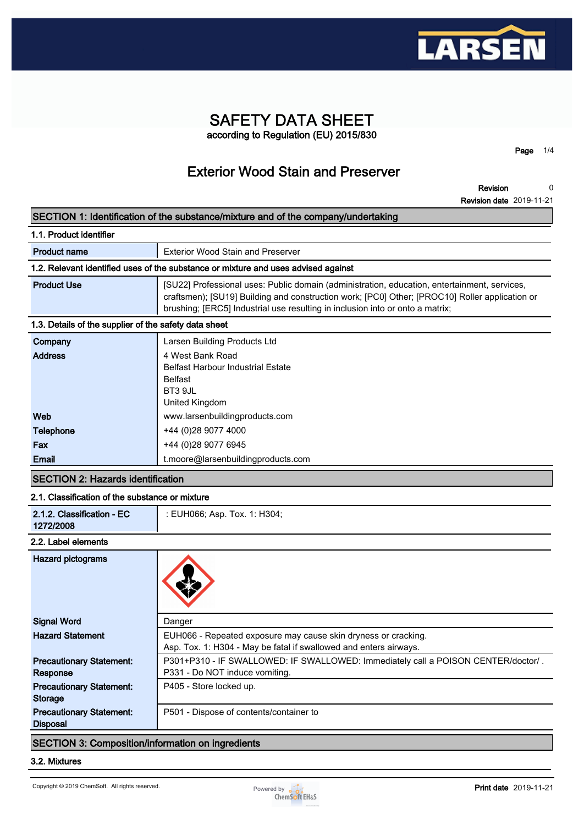

# **SAFETY DATA SHEET according to Regulation (EU) 2015/830**

**Page 1/4**

# **Exterior Wood Stain and Preserver**

**Revision Revision date 2019-11-21 0**

| SECTION 1: Identification of the substance/mixture and of the company/undertaking |  |
|-----------------------------------------------------------------------------------|--|
|-----------------------------------------------------------------------------------|--|

| 1.1. Product identifier                                                            |                                                                                                                                                                                                                                                                                 |  |  |
|------------------------------------------------------------------------------------|---------------------------------------------------------------------------------------------------------------------------------------------------------------------------------------------------------------------------------------------------------------------------------|--|--|
| <b>Product name</b>                                                                | <b>Exterior Wood Stain and Preserver</b>                                                                                                                                                                                                                                        |  |  |
| 1.2. Relevant identified uses of the substance or mixture and uses advised against |                                                                                                                                                                                                                                                                                 |  |  |
| <b>Product Use</b>                                                                 | [SU22] Professional uses: Public domain (administration, education, entertainment, services,<br>craftsmen); [SU19] Building and construction work; [PC0] Other; [PROC10] Roller application or<br>brushing; [ERC5] Industrial use resulting in inclusion into or onto a matrix; |  |  |
| 1.3. Details of the supplier of the safety data sheet                              |                                                                                                                                                                                                                                                                                 |  |  |
| Company                                                                            | Larsen Building Products Ltd                                                                                                                                                                                                                                                    |  |  |
| <b>Address</b>                                                                     | 4 West Bank Road<br><b>Belfast Harbour Industrial Estate</b><br><b>Belfast</b><br>BT3 9JL<br>United Kingdom                                                                                                                                                                     |  |  |
| Web                                                                                | www.larsenbuildingproducts.com                                                                                                                                                                                                                                                  |  |  |
| <b>Telephone</b>                                                                   | +44 (0) 28 9077 4000                                                                                                                                                                                                                                                            |  |  |
| Fax                                                                                | +44 (0) 28 9077 6945                                                                                                                                                                                                                                                            |  |  |
| Email                                                                              | t.moore@larsenbuildingproducts.com                                                                                                                                                                                                                                              |  |  |

# **SECTION 2: Hazards identification**

## **2.1. Classification of the substance or mixture**

| 2.1.2. Classification - EC | : EUH066: Asp. Tox. 1: H304: |
|----------------------------|------------------------------|
| 1272/2008                  |                              |

#### **2.2. Label elements**

| <b>Hazard pictograms</b>        |                                                                                   |
|---------------------------------|-----------------------------------------------------------------------------------|
| <b>Signal Word</b>              | Danger                                                                            |
| <b>Hazard Statement</b>         | EUH066 - Repeated exposure may cause skin dryness or cracking.                    |
|                                 | Asp. Tox. 1: H304 - May be fatal if swallowed and enters airways.                 |
| <b>Precautionary Statement:</b> | P301+P310 - IF SWALLOWED: IF SWALLOWED: Immediately call a POISON CENTER/doctor/. |
| <b>Response</b>                 | P331 - Do NOT induce vomiting.                                                    |
| <b>Precautionary Statement:</b> | P405 - Store locked up.                                                           |
| Storage                         |                                                                                   |
| <b>Precautionary Statement:</b> | P501 - Dispose of contents/container to                                           |
| <b>Disposal</b>                 |                                                                                   |

# **SECTION 3: Composition/information on ingredients**

#### **3.2. Mixtures**

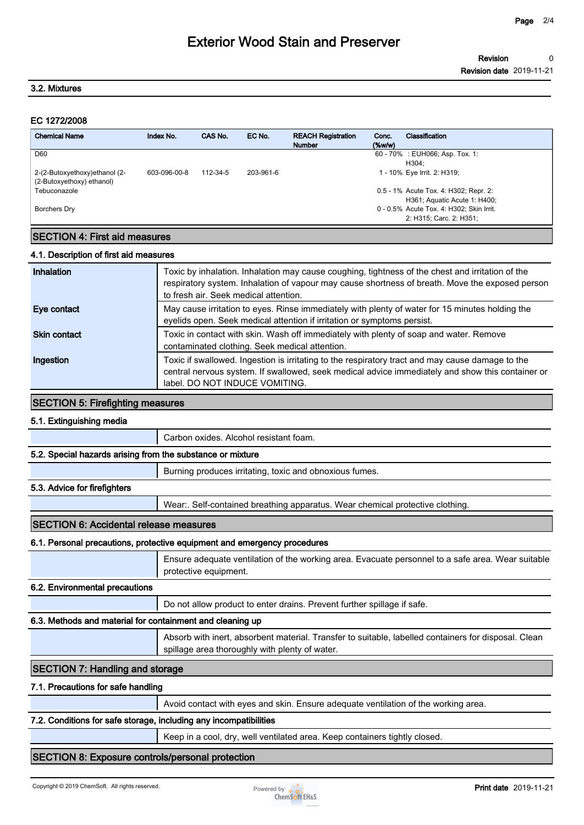# **Exterior Wood Stain and Preserver**

#### **3.2. Mixtures**

#### **EC 1272/2008**

| <b>Chemical Name</b>                                        | Index No.    | CAS No.  | EC No.    | <b>REACH Registration</b><br><b>Number</b> | Conc.<br>$(\%w/w)$ | Classification                                                        |
|-------------------------------------------------------------|--------------|----------|-----------|--------------------------------------------|--------------------|-----------------------------------------------------------------------|
| D60                                                         |              |          |           |                                            |                    | 60 - 70% : EUH066; Asp. Tox. 1:<br>H304:                              |
| 2-(2-Butoxyethoxy) ethanol (2-<br>(2-Butoxyethoxy) ethanol) | 603-096-00-8 | 112-34-5 | 203-961-6 |                                            |                    | 1 - 10% Eye Irrit. 2: H319;                                           |
| Tebuconazole                                                |              |          |           |                                            |                    | 0.5 - 1% Acute Tox. 4: H302; Repr. 2:<br>H361; Aquatic Acute 1: H400; |
| Borchers Dry                                                |              |          |           |                                            |                    | 0 - 0.5% Acute Tox. 4: H302; Skin Irrit.<br>2: H315; Carc. 2: H351;   |
|                                                             |              |          |           |                                            |                    |                                                                       |

# **SECTION 4: First aid measures**

#### **4.1. Description of first aid measures**

| <b>Inhalation</b> | Toxic by inhalation. Inhalation may cause coughing, tightness of the chest and irritation of the<br>respiratory system. Inhalation of vapour may cause shortness of breath. Move the exposed person<br>to fresh air. Seek medical attention. |
|-------------------|----------------------------------------------------------------------------------------------------------------------------------------------------------------------------------------------------------------------------------------------|
| Eye contact       | May cause irritation to eyes. Rinse immediately with plenty of water for 15 minutes holding the<br>eyelids open. Seek medical attention if irritation or symptoms persist.                                                                   |
| Skin contact      | Toxic in contact with skin. Wash off immediately with plenty of soap and water. Remove<br>contaminated clothing. Seek medical attention.                                                                                                     |
| Ingestion         | Toxic if swallowed. Ingestion is irritating to the respiratory tract and may cause damage to the<br>central nervous system. If swallowed, seek medical advice immediately and show this container or<br>label. DO NOT INDUCE VOMITING.       |

### **SECTION 5: Firefighting measures**

## **5.1. Extinguishing media**

**Carbon oxides. Alcohol resistant foam.**

#### **5.2. Special hazards arising from the substance or mixture**

**Burning produces irritating, toxic and obnoxious fumes.**

#### **5.3. Advice for firefighters**

**Wear:. Self-contained breathing apparatus. Wear chemical protective clothing.**

#### **SECTION 6: Accidental release measures**

#### **6.1. Personal precautions, protective equipment and emergency procedures**

**Ensure adequate ventilation of the working area. Evacuate personnel to a safe area. Wear suitable protective equipment.**

#### **6.2. Environmental precautions**

**Do not allow product to enter drains. Prevent further spillage if safe.**

#### **6.3. Methods and material for containment and cleaning up**

**Absorb with inert, absorbent material. Transfer to suitable, labelled containers for disposal. Clean spillage area thoroughly with plenty of water.**

#### **SECTION 7: Handling and storage**

#### **7.1. Precautions for safe handling**

**Avoid contact with eyes and skin. Ensure adequate ventilation of the working area.**

#### **7.2. Conditions for safe storage, including any incompatibilities**

**Keep in a cool, dry, well ventilated area. Keep containers tightly closed.**

### **SECTION 8: Exposure controls/personal protection**

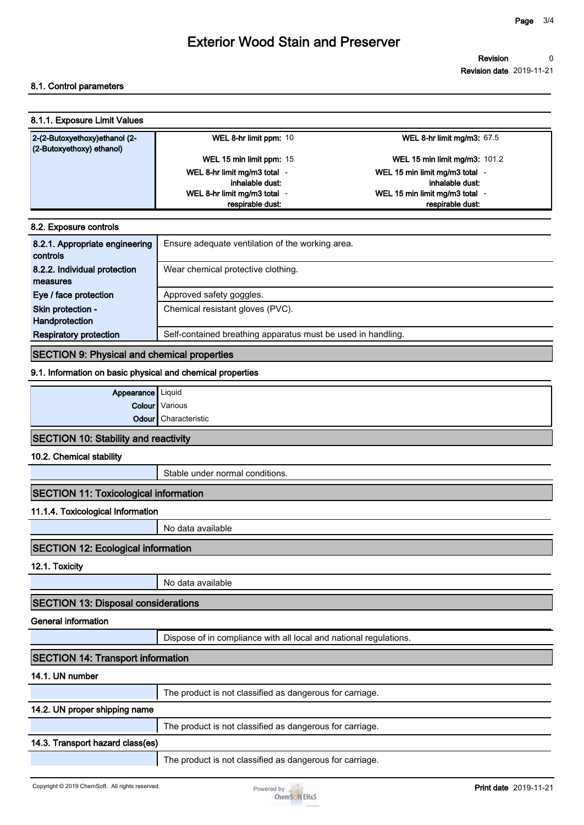# **Exterior Wood Stain and Preserver**

**Revision Revision date 2019-11-21 0**

### **8.1. Control parameters**

| 8.1.1. Exposure Limit Values                                  |                              |                                      |  |
|---------------------------------------------------------------|------------------------------|--------------------------------------|--|
| 2-(2-Butoxyethoxy)ethanol (2-<br>$(2$ -Butoxyethoxy) ethanol) | WEL 8-hr limit ppm: 10       | WEL 8-hr limit mg/m3: $67.5$         |  |
|                                                               | WEL 15 min limit ppm: 15     | <b>WEL 15 min limit mg/m3: 101.2</b> |  |
|                                                               | WEL 8-hr limit mg/m3 total - | WEL 15 min limit mg/m3 total -       |  |
|                                                               | inhalable dust:              | inhalable dust:                      |  |
|                                                               | WEL 8-hr limit mg/m3 total - | WEL 15 min limit mg/m3 total -       |  |
|                                                               | respirable dust:             | respirable dust:                     |  |

| 8.2. Exposure controls                     |                                                              |  |
|--------------------------------------------|--------------------------------------------------------------|--|
| 8.2.1. Appropriate engineering<br>controls | Ensure adequate ventilation of the working area.             |  |
| 8.2.2. Individual protection<br>measures   | Wear chemical protective clothing.                           |  |
| Eye / face protection                      | Approved safety goggles.                                     |  |
| Skin protection -<br>Handprotection        | Chemical resistant gloves (PVC).                             |  |
| <b>Respiratory protection</b>              | Self-contained breathing apparatus must be used in handling. |  |

## **SECTION 9: Physical and chemical properties**

#### **9.1. Information on basic physical and chemical properties**

| Appearance Liquid                       |                             |
|-----------------------------------------|-----------------------------|
|                                         | <b>Colour</b> Various       |
|                                         | <b>Odour</b> Characteristic |
| $CFATCAI$ 40. $C4F1H1$ and readily $H1$ |                             |

# **SECTION 10: Stability and reactivity**

### **10.2. Chemical stability**

**Stable under normal conditions.**

## **SECTION 11: Toxicological information**

### **11.1.4. Toxicological Information**

**No data available**

## **SECTION 12: Ecological information**

**12.1. Toxicity**

**No data available**

## **SECTION 13: Disposal considerations**

**General information**

**Dispose of in compliance with all local and national regulations.**

| <b>SECTION 14: Transport information</b> |                                                          |  |
|------------------------------------------|----------------------------------------------------------|--|
| 14.1. UN number                          |                                                          |  |
|                                          | The product is not classified as dangerous for carriage. |  |
| 14.2. UN proper shipping name            |                                                          |  |
|                                          | The product is not classified as dangerous for carriage. |  |
| 14.3. Transport hazard class(es)         |                                                          |  |
|                                          | The product is not classified as dangerous for carriage. |  |
|                                          |                                                          |  |